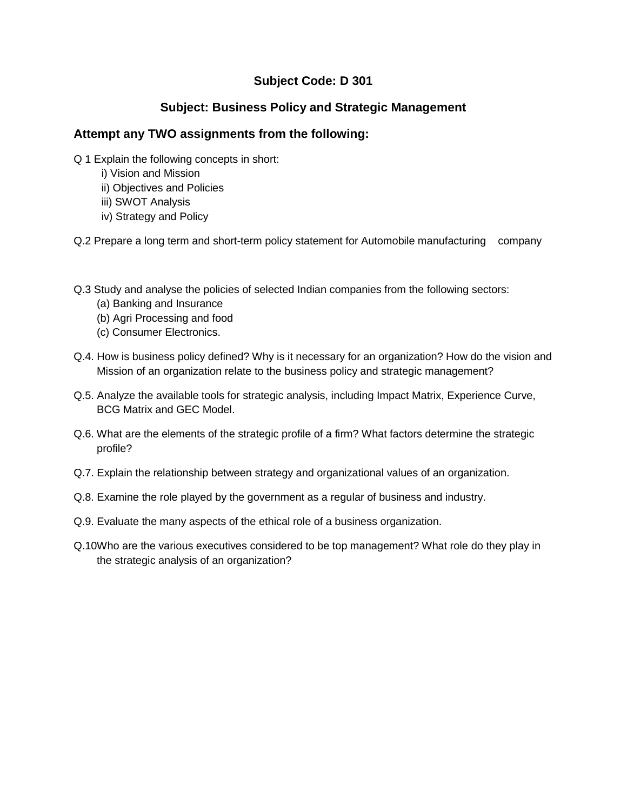# **Subject Code: D 301**

# **Subject: Business Policy and Strategic Management**

### **Attempt any TWO assignments from the following:**

- Q 1 Explain the following concepts in short:
	- i) Vision and Mission
	- ii) Objectives and Policies
	- iii) SWOT Analysis
	- iv) Strategy and Policy

Q.2 Prepare a long term and short-term policy statement for Automobile manufacturing company

- Q.3 Study and analyse the policies of selected Indian companies from the following sectors:
	- (a) Banking and Insurance
	- (b) Agri Processing and food
	- (c) Consumer Electronics.
- Q.4. How is business policy defined? Why is it necessary for an organization? How do the vision and Mission of an organization relate to the business policy and strategic management?
- Q.5. Analyze the available tools for strategic analysis, including Impact Matrix, Experience Curve, BCG Matrix and GEC Model.
- Q.6. What are the elements of the strategic profile of a firm? What factors determine the strategic profile?
- Q.7. Explain the relationship between strategy and organizational values of an organization.
- Q.8. Examine the role played by the government as a regular of business and industry.
- Q.9. Evaluate the many aspects of the ethical role of a business organization.
- Q.10Who are the various executives considered to be top management? What role do they play in the strategic analysis of an organization?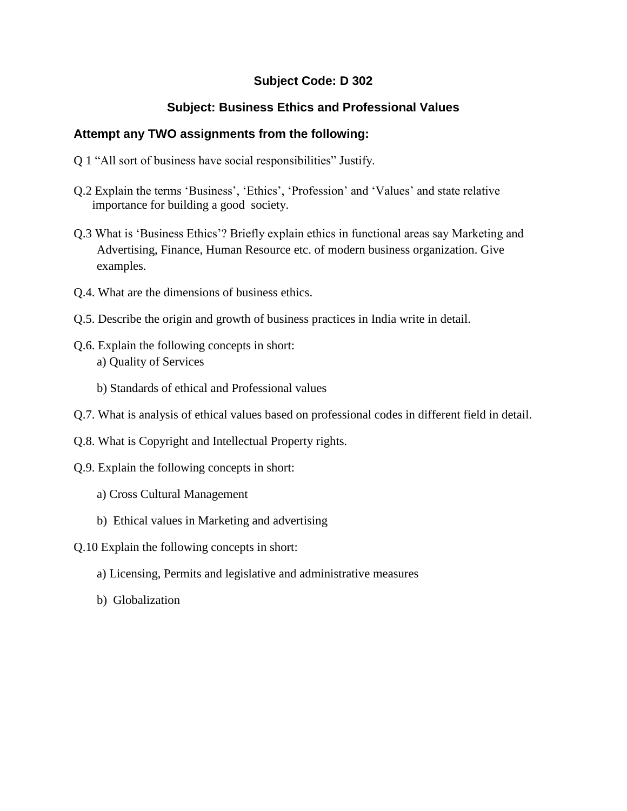### **Subject Code: D 302**

### **Subject: Business Ethics and Professional Values**

- Q 1 "All sort of business have social responsibilities" Justify.
- Q.2 Explain the terms "Business", "Ethics", "Profession" and "Values" and state relative importance for building a good society.
- Q.3 What is "Business Ethics"? Briefly explain ethics in functional areas say Marketing and Advertising, Finance, Human Resource etc. of modern business organization. Give examples.
- Q.4. What are the dimensions of business ethics.
- Q.5. Describe the origin and growth of business practices in India write in detail.
- Q.6. Explain the following concepts in short: a) Quality of Services
	- b) Standards of ethical and Professional values
- Q.7. What is analysis of ethical values based on professional codes in different field in detail.
- Q.8. What is Copyright and Intellectual Property rights.
- Q.9. Explain the following concepts in short:
	- a) Cross Cultural Management
	- b) Ethical values in Marketing and advertising
- Q.10 Explain the following concepts in short:
	- a) Licensing, Permits and legislative and administrative measures
	- b) Globalization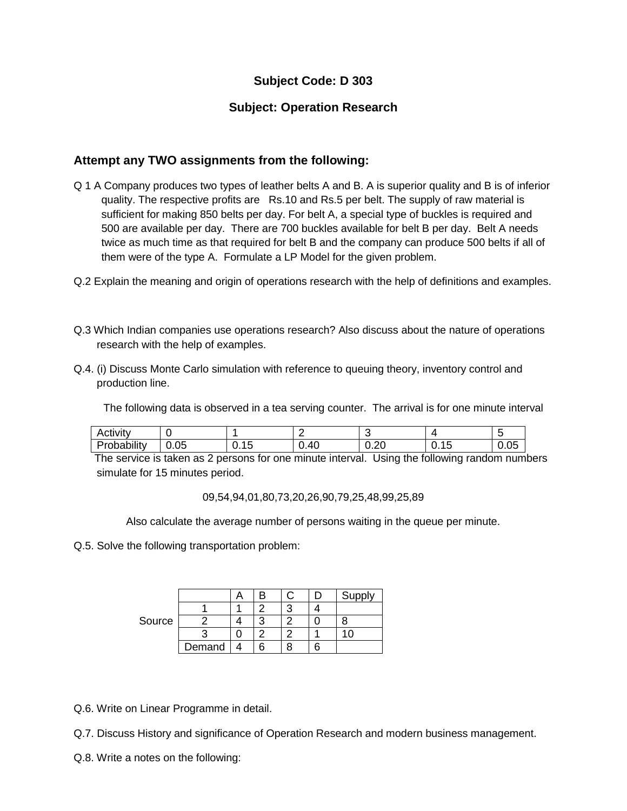# **Subject Code: D 303**

### **Subject: Operation Research**

### **Attempt any TWO assignments from the following:**

- Q 1 A Company produces two types of leather belts A and B. A is superior quality and B is of inferior quality. The respective profits are Rs.10 and Rs.5 per belt. The supply of raw material is sufficient for making 850 belts per day. For belt A, a special type of buckles is required and 500 are available per day. There are 700 buckles available for belt B per day. Belt A needs twice as much time as that required for belt B and the company can produce 500 belts if all of them were of the type A. Formulate a LP Model for the given problem.
- Q.2 Explain the meaning and origin of operations research with the help of definitions and examples.
- Q.3 Which Indian companies use operations research? Also discuss about the nature of operations research with the help of examples.
- Q.4. (i) Discuss Monte Carlo simulation with reference to queuing theory, inventory control and production line.

The following data is observed in a tea serving counter. The arrival is for one minute interval

| $\sim$ .<br>Activity  |            |                                   |      | ີ                   |                  | -<br>∼         |
|-----------------------|------------|-----------------------------------|------|---------------------|------------------|----------------|
| .<br>∽<br>'robability | ∩ҕ<br>v.vo | $\overline{\phantom{0}}$<br>∪. ≀∪ | 0.40 | $\sim$<br>∽<br>∪.∠∪ | -<br><b>v.iv</b> | $\cap$<br>v.vJ |

 The service is taken as 2 persons for one minute interval. Using the following random numbers simulate for 15 minutes period.

09,54,94,01,80,73,20,26,90,79,25,48,99,25,89

Also calculate the average number of persons waiting in the queue per minute.

Q.5. Solve the following transportation problem:

|        |        |    |  | Supply       |
|--------|--------|----|--|--------------|
| Source |        |    |  |              |
|        |        | ┍  |  |              |
|        |        |    |  | $\mathbf{I}$ |
|        | Demand | ิค |  |              |

Q.6. Write on Linear Programme in detail.

Q.7. Discuss History and significance of Operation Research and modern business management.

Q.8. Write a notes on the following: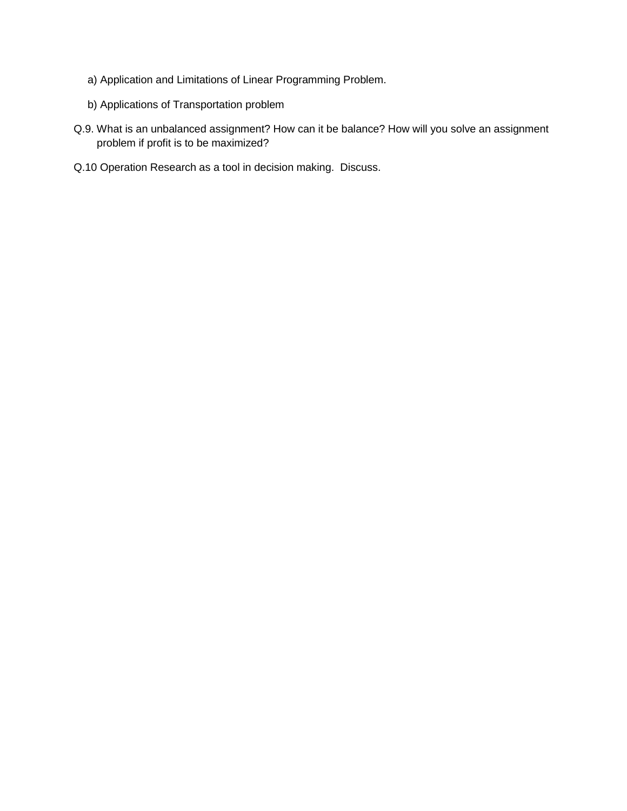- a) Application and Limitations of Linear Programming Problem.
- b) Applications of Transportation problem
- Q.9. What is an unbalanced assignment? How can it be balance? How will you solve an assignment problem if profit is to be maximized?
- Q.10 Operation Research as a tool in decision making. Discuss.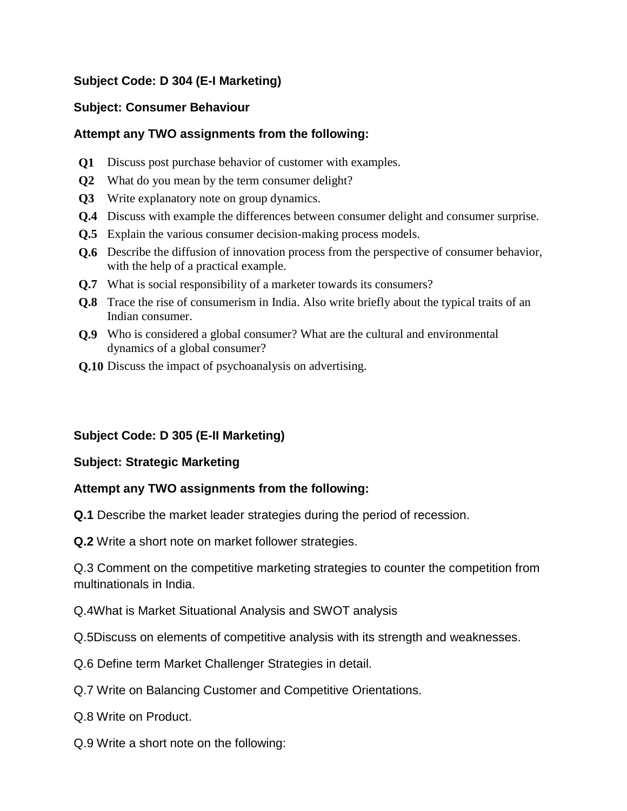# **Subject Code: D 304 (E-I Marketing)**

### **Subject: Consumer Behaviour**

### **Attempt any TWO assignments from the following:**

- **Q1** Discuss post purchase behavior of customer with examples.
- **Q2** What do you mean by the term consumer delight?
- **Q3** Write explanatory note on group dynamics.
- **Q.4** Discuss with example the differences between consumer delight and consumer surprise.
- **Q.5** Explain the various consumer decision-making process models.
- **Q.6** Describe the diffusion of innovation process from the perspective of consumer behavior, with the help of a practical example.
- **Q.7** What is social responsibility of a marketer towards its consumers?
- **Q.8** Trace the rise of consumerism in India. Also write briefly about the typical traits of an Indian consumer.
- **Q.9** Who is considered a global consumer? What are the cultural and environmental dynamics of a global consumer?
- **Q.10** Discuss the impact of psychoanalysis on advertising.

# **Subject Code: D 305 (E-II Marketing)**

# **Subject: Strategic Marketing**

# **Attempt any TWO assignments from the following:**

**Q.1** Describe the market leader strategies during the period of recession.

**Q.2** Write a short note on market follower strategies.

Q.3 Comment on the competitive marketing strategies to counter the competition from multinationals in India.

Q.4What is Market Situational Analysis and SWOT analysis

Q.5Discuss on elements of competitive analysis with its strength and weaknesses.

- Q.6 Define term Market Challenger Strategies in detail.
- Q.7 Write on Balancing Customer and Competitive Orientations.
- Q.8 Write on Product.
- Q.9 Write a short note on the following: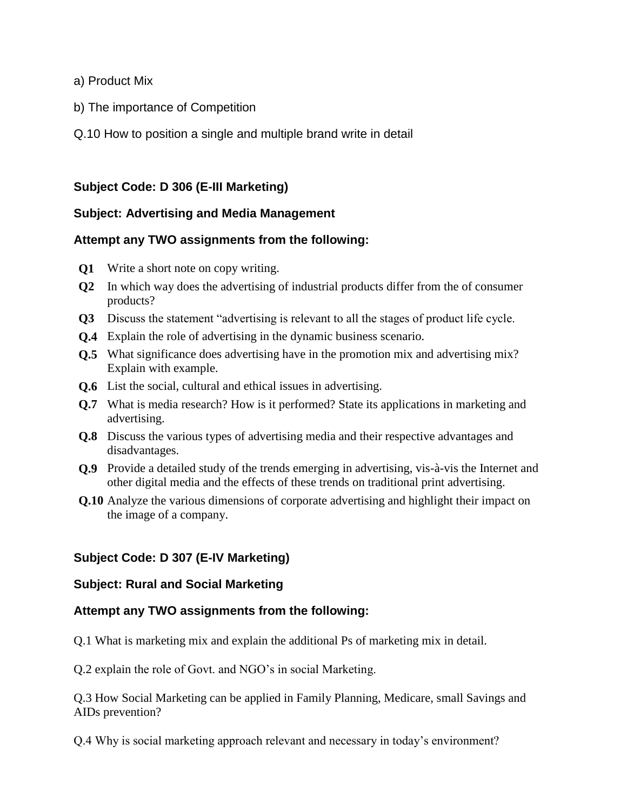- a) Product Mix
- b) The importance of Competition
- Q.10 How to position a single and multiple brand write in detail

#### **Subject Code: D 306 (E-III Marketing)**

#### **Subject: Advertising and Media Management**

#### **Attempt any TWO assignments from the following:**

- **Q1** Write a short note on copy writing.
- **Q2** In which way does the advertising of industrial products differ from the of consumer products?
- **Q3** Discuss the statement "advertising is relevant to all the stages of product life cycle.
- **Q.4** Explain the role of advertising in the dynamic business scenario.
- **Q.5** What significance does advertising have in the promotion mix and advertising mix? Explain with example.
- **Q.6** List the social, cultural and ethical issues in advertising.
- **Q.7** What is media research? How is it performed? State its applications in marketing and advertising.
- **Q.8** Discuss the various types of advertising media and their respective advantages and disadvantages.
- **Q.9** Provide a detailed study of the trends emerging in advertising, vis-à-vis the Internet and other digital media and the effects of these trends on traditional print advertising.
- **Q.10** Analyze the various dimensions of corporate advertising and highlight their impact on the image of a company.

### **Subject Code: D 307 (E-IV Marketing)**

#### **Subject: Rural and Social Marketing**

#### **Attempt any TWO assignments from the following:**

Q.1 What is marketing mix and explain the additional Ps of marketing mix in detail.

Q.2 explain the role of Govt. and NGO"s in social Marketing.

Q.3 How Social Marketing can be applied in Family Planning, Medicare, small Savings and AIDs prevention?

Q.4 Why is social marketing approach relevant and necessary in today"s environment?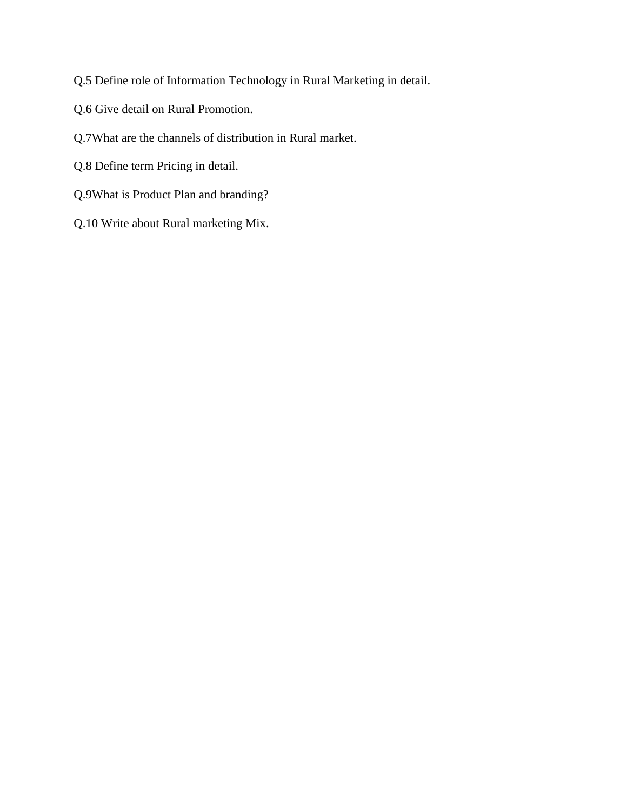Q.5 Define role of Information Technology in Rural Marketing in detail.

- Q.6 Give detail on Rural Promotion.
- Q.7What are the channels of distribution in Rural market.
- Q.8 Define term Pricing in detail.
- Q.9What is Product Plan and branding?
- Q.10 Write about Rural marketing Mix.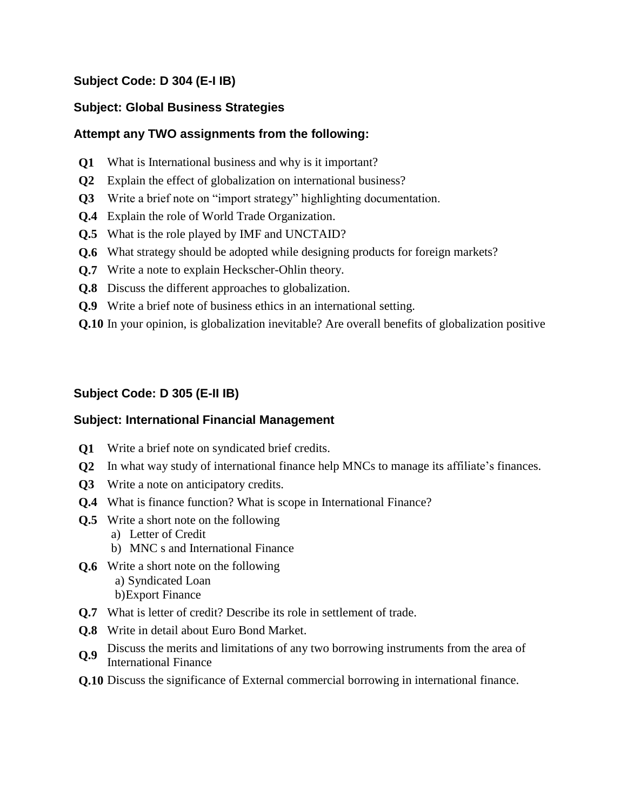# **Subject Code: D 304 (E-I IB)**

# **Subject: Global Business Strategies**

### **Attempt any TWO assignments from the following:**

- **Q1** What is International business and why is it important?
- **Q2** Explain the effect of globalization on international business?
- **Q3** Write a brief note on "import strategy" highlighting documentation.
- **Q.4** Explain the role of World Trade Organization.
- **Q.5** What is the role played by IMF and UNCTAID?
- **Q.6** What strategy should be adopted while designing products for foreign markets?
- **Q.7** Write a note to explain Heckscher-Ohlin theory.
- **Q.8** Discuss the different approaches to globalization.
- **Q.9** Write a brief note of business ethics in an international setting.
- **Q.10** In your opinion, is globalization inevitable? Are overall benefits of globalization positive

# **Subject Code: D 305 (E-II IB)**

### **Subject: International Financial Management**

- **Q1** Write a brief note on syndicated brief credits.
- **Q2** In what way study of international finance help MNCs to manage its affiliate's finances.
- **Q3** Write a note on anticipatory credits.
- **Q.4** What is finance function? What is scope in International Finance?
- **Q.5** Write a short note on the following
	- a) Letter of Credit
	- b) MNC s and International Finance
- **Q.6** Write a short note on the following a) Syndicated Loan b)Export Finance
- **Q.7** What is letter of credit? Describe its role in settlement of trade.
- **Q.8** Write in detail about Euro Bond Market.
- **Q.9** Discuss the merits and limitations of any two borrowing instruments from the area of International Einersec International Finance
- **Q.10** Discuss the significance of External commercial borrowing in international finance.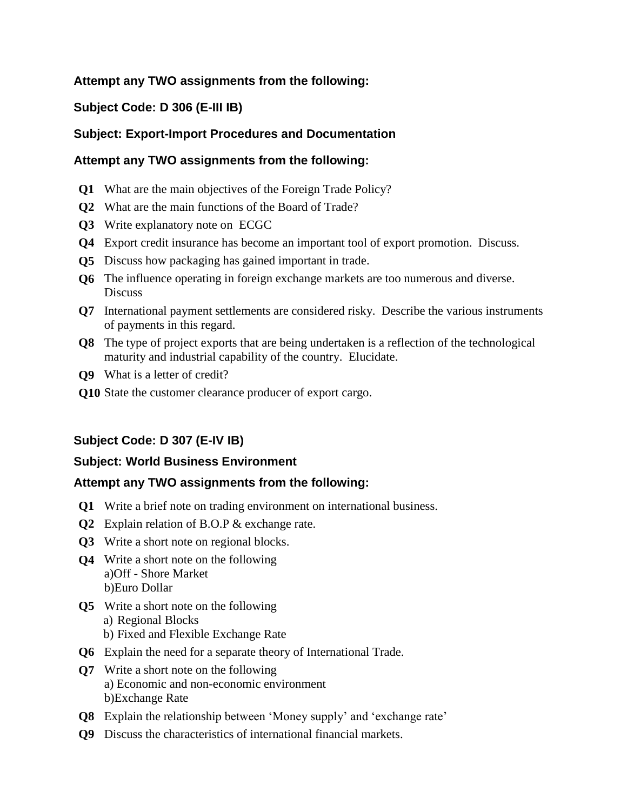### **Attempt any TWO assignments from the following:**

### **Subject Code: D 306 (E-III IB)**

### **Subject: Export-Import Procedures and Documentation**

### **Attempt any TWO assignments from the following:**

- **Q1** What are the main objectives of the Foreign Trade Policy?
- **Q2** What are the main functions of the Board of Trade?
- **Q3** Write explanatory note on ECGC
- **Q4** Export credit insurance has become an important tool of export promotion. Discuss.
- **Q5** Discuss how packaging has gained important in trade.
- **Q6** The influence operating in foreign exchange markets are too numerous and diverse. **Discuss**
- **Q7** International payment settlements are considered risky. Describe the various instruments of payments in this regard.
- **Q8** The type of project exports that are being undertaken is a reflection of the technological maturity and industrial capability of the country. Elucidate.
- **Q9** What is a letter of credit?
- **Q10** State the customer clearance producer of export cargo.

### **Subject Code: D 307 (E-IV IB)**

### **Subject: World Business Environment**

- **Q1** Write a brief note on trading environment on international business.
- **Q2** Explain relation of B.O.P & exchange rate.
- **Q3** Write a short note on regional blocks.
- **Q4** Write a short note on the following a)Off - Shore Market b)Euro Dollar
- **Q5** Write a short note on the following
	- a) Regional Blocks b) Fixed and Flexible Exchange Rate
- **Q6** Explain the need for a separate theory of International Trade.
- **Q7** Write a short note on the following a) Economic and non-economic environment b)Exchange Rate
- **Q8** Explain the relationship between 'Money supply' and 'exchange rate'
- **Q9** Discuss the characteristics of international financial markets.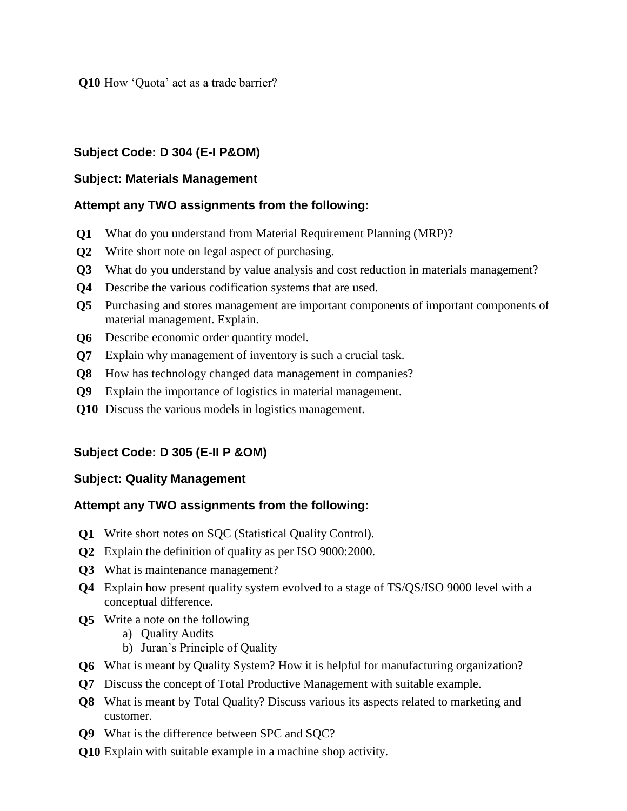**Q10** How 'Quota' act as a trade barrier?

### **Subject Code: D 304 (E-I P&OM)**

#### **Subject: Materials Management**

#### **Attempt any TWO assignments from the following:**

- **Q1** What do you understand from Material Requirement Planning (MRP)?
- **Q2** Write short note on legal aspect of purchasing.
- **Q3** What do you understand by value analysis and cost reduction in materials management?
- **Q4** Describe the various codification systems that are used.
- **Q5** Purchasing and stores management are important components of important components of material management. Explain.
- **Q6** Describe economic order quantity model.
- **Q7** Explain why management of inventory is such a crucial task.
- **Q8** How has technology changed data management in companies?
- **Q9** Explain the importance of logistics in material management.
- **Q10** Discuss the various models in logistics management.

# **Subject Code: D 305 (E-II P &OM)**

### **Subject: Quality Management**

- **Q1** Write short notes on SQC (Statistical Quality Control).
- **Q2** Explain the definition of quality as per ISO 9000:2000.
- **Q3** What is maintenance management?
- **Q4** Explain how present quality system evolved to a stage of TS/QS/ISO 9000 level with a conceptual difference.
- **Q5** Write a note on the following
	- a) Quality Audits
	- b) Juran"s Principle of Quality
- **Q6** What is meant by Quality System? How it is helpful for manufacturing organization?
- **Q7** Discuss the concept of Total Productive Management with suitable example.
- **Q8** What is meant by Total Quality? Discuss various its aspects related to marketing and customer.
- **Q9** What is the difference between SPC and SQC?
- **Q10** Explain with suitable example in a machine shop activity.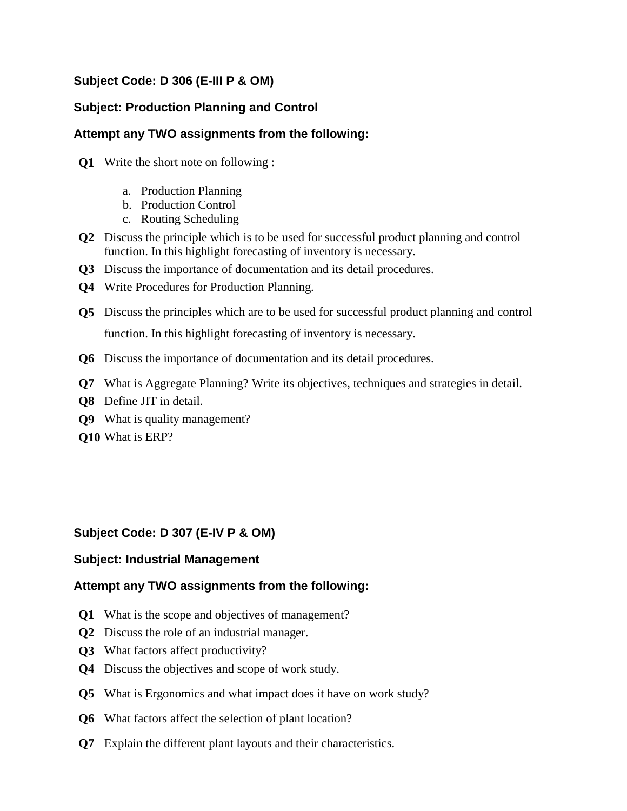# **Subject Code: D 306 (E-III P & OM)**

### **Subject: Production Planning and Control**

### **Attempt any TWO assignments from the following:**

- **Q1** Write the short note on following :
	- a. Production Planning
	- b. Production Control
	- c. Routing Scheduling
- **Q2** Discuss the principle which is to be used for successful product planning and control function. In this highlight forecasting of inventory is necessary.
- **Q3** Discuss the importance of documentation and its detail procedures.
- **Q4** Write Procedures for Production Planning.
- **Q5** Discuss the principles which are to be used for successful product planning and control function. In this highlight forecasting of inventory is necessary.
- **Q6** Discuss the importance of documentation and its detail procedures.
- **Q7** What is Aggregate Planning? Write its objectives, techniques and strategies in detail.
- **Q8** Define JIT in detail.
- **Q9** What is quality management?
- **Q10** What is ERP?

### **Subject Code: D 307 (E-IV P & OM)**

#### **Subject: Industrial Management**

- **Q1** What is the scope and objectives of management?
- **Q2** Discuss the role of an industrial manager.
- **Q3** What factors affect productivity?
- **Q4** Discuss the objectives and scope of work study.
- **Q5** What is Ergonomics and what impact does it have on work study?
- **Q6** What factors affect the selection of plant location?
- **Q7** Explain the different plant layouts and their characteristics.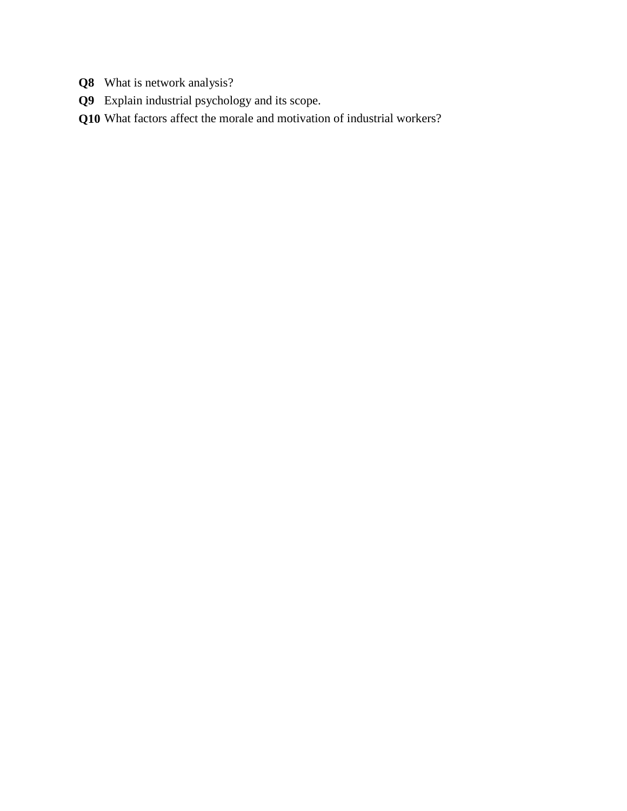- **Q8** What is network analysis?
- **Q9** Explain industrial psychology and its scope.
- **Q10** What factors affect the morale and motivation of industrial workers?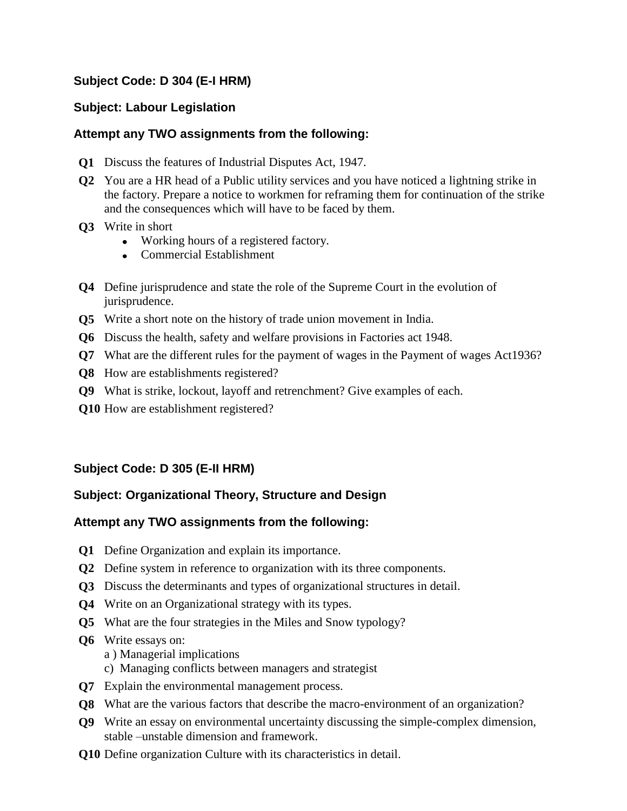### **Subject Code: D 304 (E-I HRM)**

### **Subject: Labour Legislation**

### **Attempt any TWO assignments from the following:**

- **Q1** Discuss the features of Industrial Disputes Act, 1947.
- **Q2** You are a HR head of a Public utility services and you have noticed a lightning strike in the factory. Prepare a notice to workmen for reframing them for continuation of the strike and the consequences which will have to be faced by them.
- **Q3** Write in short
	- Working hours of a registered factory.
	- Commercial Establishment
- **Q4** Define jurisprudence and state the role of the Supreme Court in the evolution of jurisprudence.
- **Q5** Write a short note on the history of trade union movement in India.
- **Q6** Discuss the health, safety and welfare provisions in Factories act 1948.
- **Q7** What are the different rules for the payment of wages in the Payment of wages Act1936?
- **Q8** How are establishments registered?
- **Q9** What is strike, lockout, layoff and retrenchment? Give examples of each.
- **Q10** How are establishment registered?

# **Subject Code: D 305 (E-II HRM)**

### **Subject: Organizational Theory, Structure and Design**

- **Q1** Define Organization and explain its importance.
- **Q2** Define system in reference to organization with its three components.
- **Q3** Discuss the determinants and types of organizational structures in detail.
- **Q4** Write on an Organizational strategy with its types.
- **Q5** What are the four strategies in the Miles and Snow typology?
- **Q6** Write essays on:
	- a ) Managerial implications
	- c) Managing conflicts between managers and strategist
- **Q7** Explain the environmental management process.
- **Q8** What are the various factors that describe the macro-environment of an organization?
- **Q9** Write an essay on environmental uncertainty discussing the simple-complex dimension, stable –unstable dimension and framework.
- **Q10** Define organization Culture with its characteristics in detail.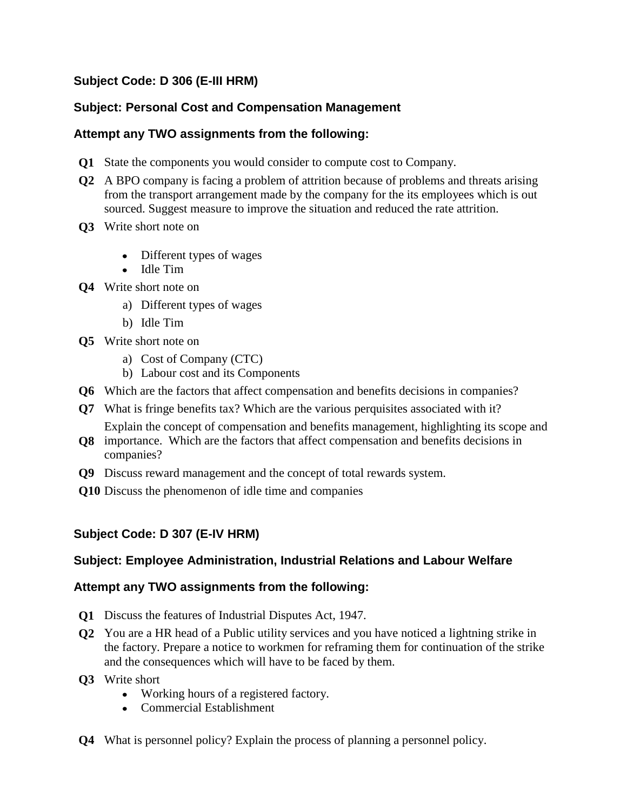# **Subject Code: D 306 (E-III HRM)**

# **Subject: Personal Cost and Compensation Management**

### **Attempt any TWO assignments from the following:**

- **Q1** State the components you would consider to compute cost to Company.
- **Q2** A BPO company is facing a problem of attrition because of problems and threats arising from the transport arrangement made by the company for the its employees which is out sourced. Suggest measure to improve the situation and reduced the rate attrition.
- **Q3** Write short note on
	- Different types of wages
	- Idle Tim
- **Q4** Write short note on
	- a) Different types of wages
	- b) Idle Tim
- **Q5** Write short note on
	- a) Cost of Company (CTC)
	- b) Labour cost and its Components
- **Q6** Which are the factors that affect compensation and benefits decisions in companies?
- **Q7** What is fringe benefits tax? Which are the various perquisites associated with it? Explain the concept of compensation and benefits management, highlighting its scope and
- **Q8** importance. Which are the factors that affect compensation and benefits decisions in companies?
- **Q9** Discuss reward management and the concept of total rewards system.
- **Q10** Discuss the phenomenon of idle time and companies

### **Subject Code: D 307 (E-IV HRM)**

### **Subject: Employee Administration, Industrial Relations and Labour Welfare**

- **Q1** Discuss the features of Industrial Disputes Act, 1947.
- **Q2** You are a HR head of a Public utility services and you have noticed a lightning strike in the factory. Prepare a notice to workmen for reframing them for continuation of the strike and the consequences which will have to be faced by them.
- **Q3** Write short
	- Working hours of a registered factory.
	- Commercial Establishment
- **Q4** What is personnel policy? Explain the process of planning a personnel policy.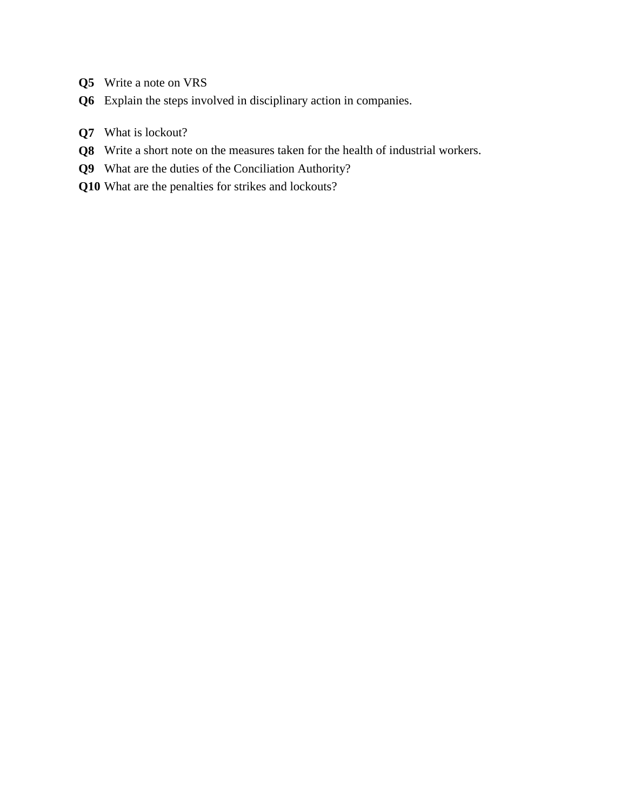- **Q5** Write a note on VRS
- **Q6** Explain the steps involved in disciplinary action in companies.
- **Q7** What is lockout?
- **Q8** Write a short note on the measures taken for the health of industrial workers.
- **Q9** What are the duties of the Conciliation Authority?
- **Q10** What are the penalties for strikes and lockouts?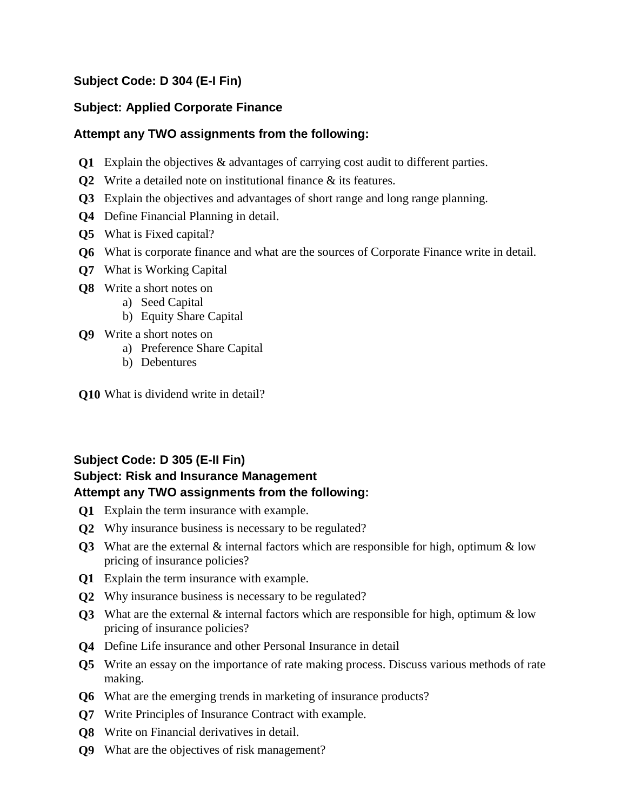# **Subject Code: D 304 (E-I Fin)**

### **Subject: Applied Corporate Finance**

### **Attempt any TWO assignments from the following:**

- **Q1** Explain the objectives & advantages of carrying cost audit to different parties.
- **Q2** Write a detailed note on institutional finance & its features.
- **Q3** Explain the objectives and advantages of short range and long range planning.
- **Q4** Define Financial Planning in detail.
- **Q5** What is Fixed capital?
- **Q6** What is corporate finance and what are the sources of Corporate Finance write in detail.
- **Q7** What is Working Capital
- **Q8** Write a short notes on
	- a) Seed Capital
	- b) Equity Share Capital
- **Q9** Write a short notes on
	- a) Preference Share Capital
	- b) Debentures

**Q10** What is dividend write in detail?

# **Subject Code: D 305 (E-II Fin)**

# **Subject: Risk and Insurance Management Attempt any TWO assignments from the following:**

- **Q1** Explain the term insurance with example.
- **Q2** Why insurance business is necessary to be regulated?
- **Q3** What are the external & internal factors which are responsible for high, optimum & low pricing of insurance policies?
- **Q1** Explain the term insurance with example.
- **Q2** Why insurance business is necessary to be regulated?
- **Q3** What are the external & internal factors which are responsible for high, optimum & low pricing of insurance policies?
- **Q4** Define Life insurance and other Personal Insurance in detail
- **Q5** Write an essay on the importance of rate making process. Discuss various methods of rate making.
- **Q6** What are the emerging trends in marketing of insurance products?
- **Q7** Write Principles of Insurance Contract with example.
- **Q8** Write on Financial derivatives in detail.
- **Q9** What are the objectives of risk management?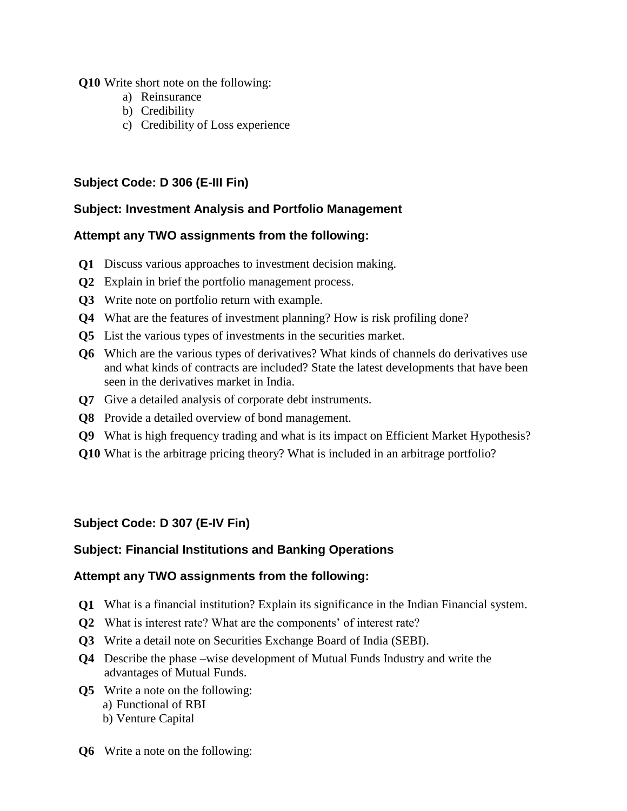**Q10** Write short note on the following:

- a) Reinsurance
- b) Credibility
- c) Credibility of Loss experience

# **Subject Code: D 306 (E-III Fin)**

### **Subject: Investment Analysis and Portfolio Management**

# **Attempt any TWO assignments from the following:**

- **Q1** Discuss various approaches to investment decision making.
- **Q2** Explain in brief the portfolio management process.
- **Q3** Write note on portfolio return with example.
- **Q4** What are the features of investment planning? How is risk profiling done?
- **Q5** List the various types of investments in the securities market.
- **Q6** Which are the various types of derivatives? What kinds of channels do derivatives use and what kinds of contracts are included? State the latest developments that have been seen in the derivatives market in India.
- **Q7** Give a detailed analysis of corporate debt instruments.
- **Q8** Provide a detailed overview of bond management.
- **Q9** What is high frequency trading and what is its impact on Efficient Market Hypothesis?
- **Q10** What is the arbitrage pricing theory? What is included in an arbitrage portfolio?

# **Subject Code: D 307 (E-IV Fin)**

# **Subject: Financial Institutions and Banking Operations**

- **Q1** What is a financial institution? Explain its significance in the Indian Financial system.
- **Q2** What is interest rate? What are the components' of interest rate?
- **Q3** Write a detail note on Securities Exchange Board of India (SEBI).
- **Q4** Describe the phase –wise development of Mutual Funds Industry and write the advantages of Mutual Funds.
- **Q5** Write a note on the following:
	- a) Functional of RBI
		- b) Venture Capital
- **Q6** Write a note on the following: